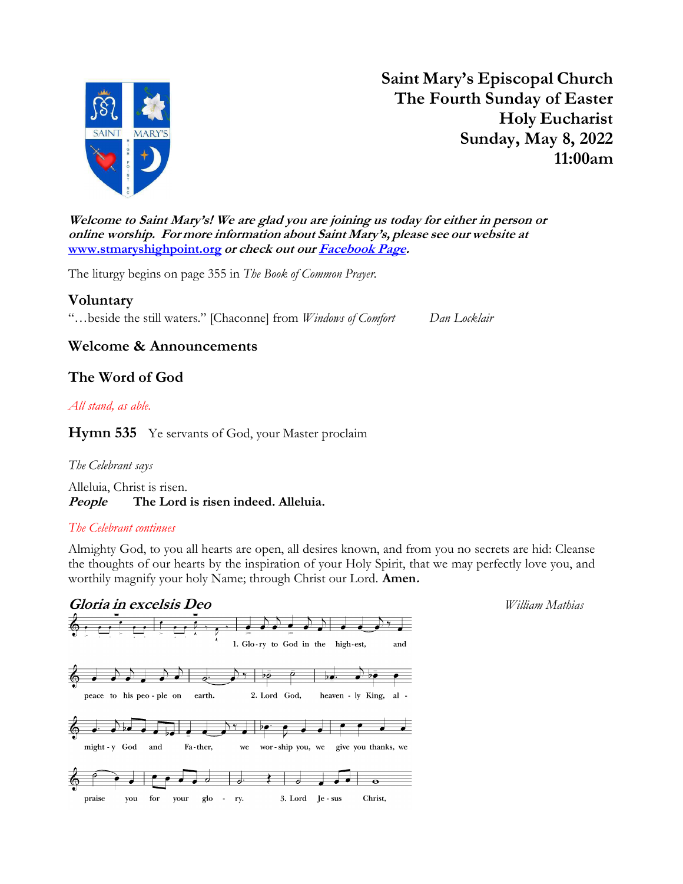

Saint Mary's Episcopal Church The Fourth Sunday of Easter Holy Eucharist Sunday, May 8, 2022 11:00am

Welcome to Saint Mary's! We are glad you are joining us today for either in person or online worship. For more information about Saint Mary's, please see our website at www.stmaryshighpoint.org or check out our Facebook Page.

The liturgy begins on page 355 in The Book of Common Prayer.

Voluntary "...beside the still waters." [Chaconne] from Windows of Comfort Dan Locklair

## Welcome & Announcements

## The Word of God

### All stand, as able.

Hymn 535 Ye servants of God, your Master proclaim

### The Celebrant says

Alleluia, Christ is risen. People The Lord is risen indeed. Alleluia.

#### The Celebrant continues

Almighty God, to you all hearts are open, all desires known, and from you no secrets are hid: Cleanse the thoughts of our hearts by the inspiration of your Holy Spirit, that we may perfectly love you, and worthily magnify your holy Name; through Christ our Lord. **Amen.** 

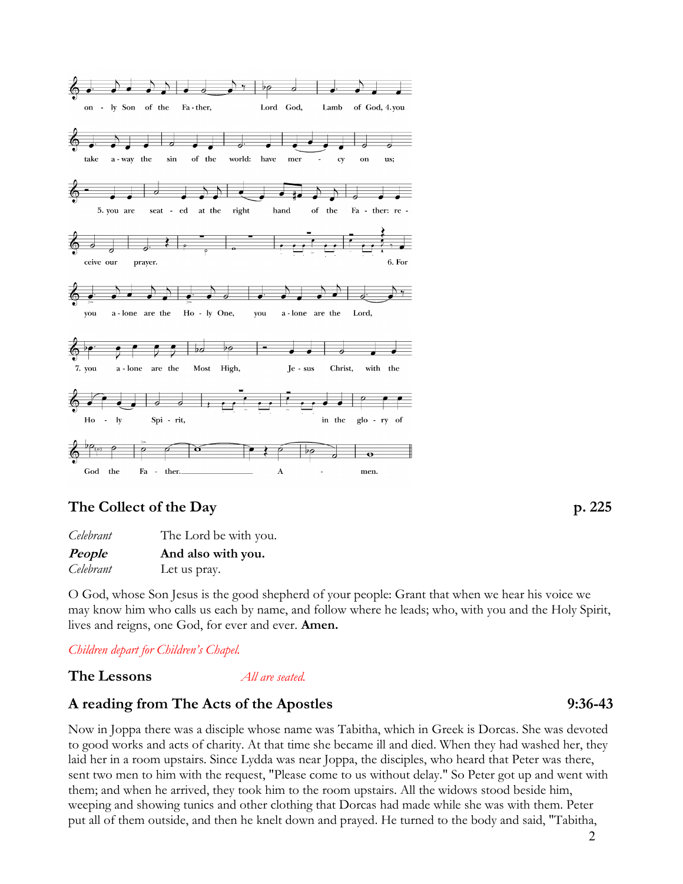

## The Collect of the Day p. 225

| Celebrant | The Lord be with you. |
|-----------|-----------------------|
| People    | And also with you.    |
| Celebrant | Let us pray.          |

O God, whose Son Jesus is the good shepherd of your people: Grant that when we hear his voice we may know him who calls us each by name, and follow where he leads; who, with you and the Holy Spirit, lives and reigns, one God, for ever and ever. Amen.

Children depart for Children's Chapel.

The Lessons *All are seated.* 

## A reading from The Acts of the Apostles 9:36-43

Now in Joppa there was a disciple whose name was Tabitha, which in Greek is Dorcas. She was devoted to good works and acts of charity. At that time she became ill and died. When they had washed her, they laid her in a room upstairs. Since Lydda was near Joppa, the disciples, who heard that Peter was there, sent two men to him with the request, "Please come to us without delay." So Peter got up and went with them; and when he arrived, they took him to the room upstairs. All the widows stood beside him, weeping and showing tunics and other clothing that Dorcas had made while she was with them. Peter put all of them outside, and then he knelt down and prayed. He turned to the body and said, "Tabitha,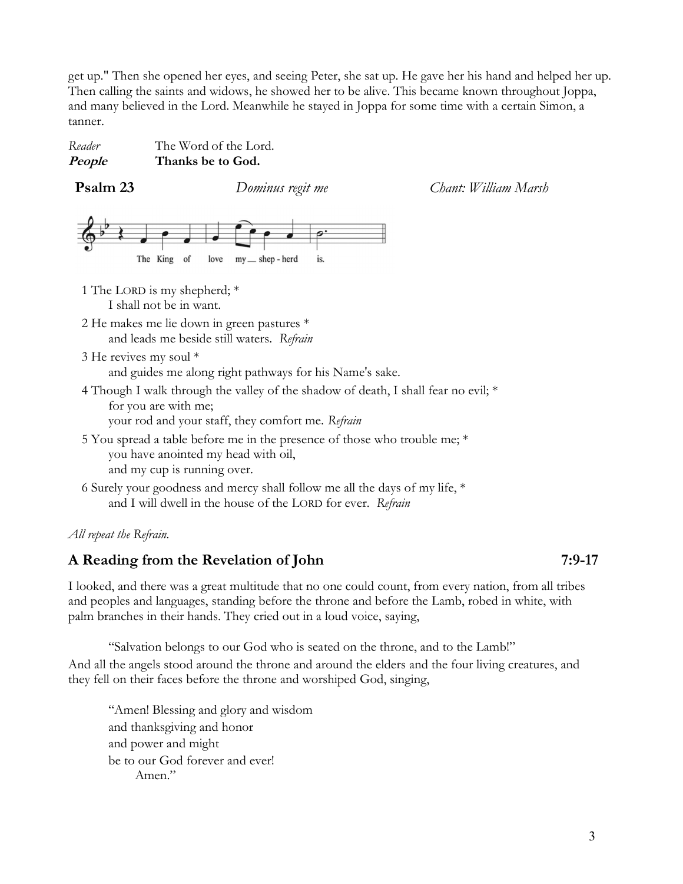get up." Then she opened her eyes, and seeing Peter, she sat up. He gave her his hand and helped her up. Then calling the saints and widows, he showed her to be alive. This became known throughout Joppa, and many believed in the Lord. Meanwhile he stayed in Joppa for some time with a certain Simon, a tanner.

Reader The Word of the Lord.<br>**People** Thanks be to God. Thanks be to God.

**Psalm 23** Dominus regit me Chant: William Marsh



1 The LORD is my shepherd; \* I shall not be in want.

- 2 He makes me lie down in green pastures \* and leads me beside still waters. Refrain
- 3 He revives my soul \* and guides me along right pathways for his Name's sake.
- 4 Though I walk through the valley of the shadow of death, I shall fear no evil; \* for you are with me;

your rod and your staff, they comfort me. Refrain

- 5 You spread a table before me in the presence of those who trouble me; \* you have anointed my head with oil, and my cup is running over.
- 6 Surely your goodness and mercy shall follow me all the days of my life, \* and I will dwell in the house of the LORD for ever. Refrain

### All repeat the Refrain.

## A Reading from the Revelation of John 7:9-17

I looked, and there was a great multitude that no one could count, from every nation, from all tribes and peoples and languages, standing before the throne and before the Lamb, robed in white, with palm branches in their hands. They cried out in a loud voice, saying,

"Salvation belongs to our God who is seated on the throne, and to the Lamb!" And all the angels stood around the throne and around the elders and the four living creatures, and they fell on their faces before the throne and worshiped God, singing,

"Amen! Blessing and glory and wisdom and thanksgiving and honor and power and might be to our God forever and ever! Amen."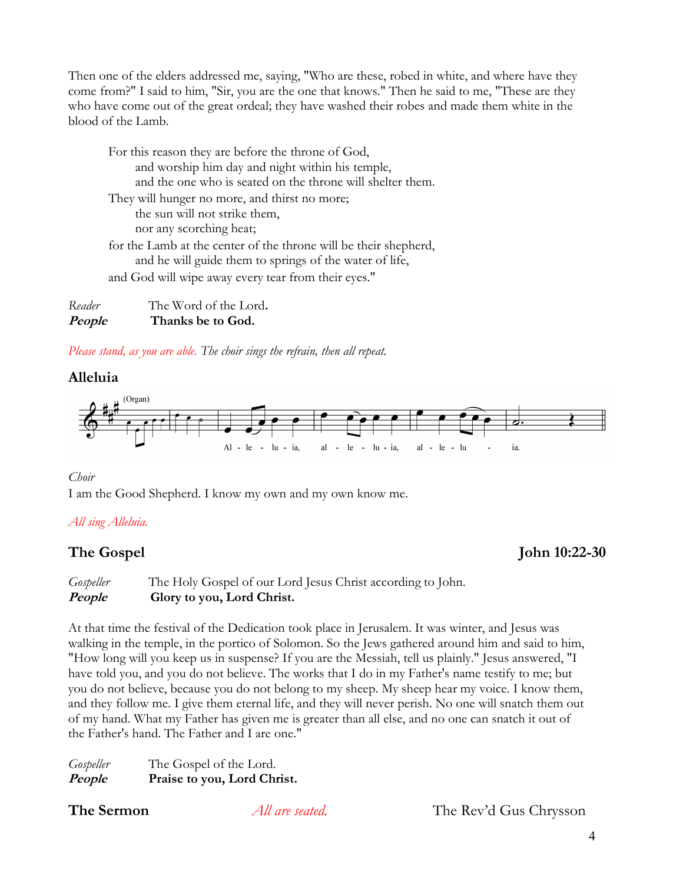Then one of the elders addressed me, saying, "Who are these, robed in white, and where have they come from?" I said to him, "Sir, you are the one that knows." Then he said to me, "These are they who have come out of the great ordeal; they have washed their robes and made them white in the blood of the Lamb.

For this reason they are before the throne of God, and worship him day and night within his temple, and the one who is seated on the throne will shelter them. They will hunger no more, and thirst no more; the sun will not strike them, nor any scorching heat; for the Lamb at the center of the throne will be their shepherd, and he will guide them to springs of the water of life, and God will wipe away every tear from their eyes."

Reader The Word of the Lord. People Thanks be to God.

Please stand, as you are able. The choir sings the refrain, then all repeat.

## Alleluia



Choir

I am the Good Shepherd. I know my own and my own know me.

## All sing Alleluia.

## The Gospel John 10:22-30

Gospeller The Holy Gospel of our Lord Jesus Christ according to John. People Glory to you, Lord Christ.

At that time the festival of the Dedication took place in Jerusalem. It was winter, and Jesus was walking in the temple, in the portico of Solomon. So the Jews gathered around him and said to him, "How long will you keep us in suspense? If you are the Messiah, tell us plainly." Jesus answered, "I have told you, and you do not believe. The works that I do in my Father's name testify to me; but you do not believe, because you do not belong to my sheep. My sheep hear my voice. I know them, and they follow me. I give them eternal life, and they will never perish. No one will snatch them out of my hand. What my Father has given me is greater than all else, and no one can snatch it out of the Father's hand. The Father and I are one."

Gospeller The Gospel of the Lord. People Praise to you, Lord Christ.

The Sermon *All are seated*. The Rev'd Gus Chrysson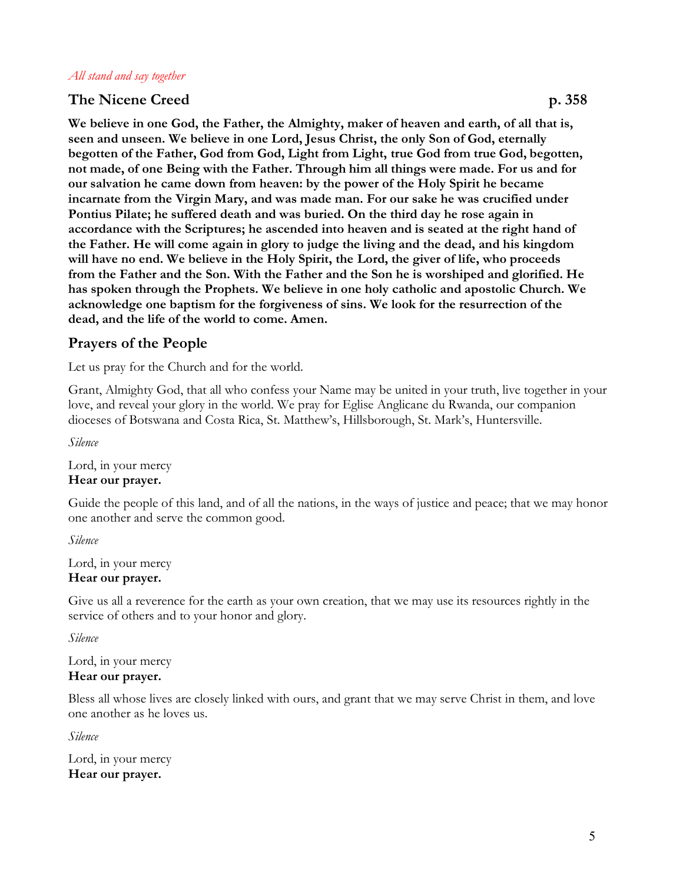#### All stand and say together

### The Nicene Creed p. 358

We believe in one God, the Father, the Almighty, maker of heaven and earth, of all that is, seen and unseen. We believe in one Lord, Jesus Christ, the only Son of God, eternally begotten of the Father, God from God, Light from Light, true God from true God, begotten, not made, of one Being with the Father. Through him all things were made. For us and for our salvation he came down from heaven: by the power of the Holy Spirit he became incarnate from the Virgin Mary, and was made man. For our sake he was crucified under Pontius Pilate; he suffered death and was buried. On the third day he rose again in accordance with the Scriptures; he ascended into heaven and is seated at the right hand of the Father. He will come again in glory to judge the living and the dead, and his kingdom will have no end. We believe in the Holy Spirit, the Lord, the giver of life, who proceeds from the Father and the Son. With the Father and the Son he is worshiped and glorified. He has spoken through the Prophets. We believe in one holy catholic and apostolic Church. We acknowledge one baptism for the forgiveness of sins. We look for the resurrection of the dead, and the life of the world to come. Amen.

## Prayers of the People

Let us pray for the Church and for the world.

Grant, Almighty God, that all who confess your Name may be united in your truth, live together in your love, and reveal your glory in the world. We pray for Eglise Anglicane du Rwanda, our companion dioceses of Botswana and Costa Rica, St. Matthew's, Hillsborough, St. Mark's, Huntersville.

Silence

Lord, in your mercy Hear our prayer.

Guide the people of this land, and of all the nations, in the ways of justice and peace; that we may honor one another and serve the common good.

Silence

Lord, in your mercy Hear our prayer.

Give us all a reverence for the earth as your own creation, that we may use its resources rightly in the service of others and to your honor and glory.

Silence

Lord, in your mercy Hear our prayer.

Bless all whose lives are closely linked with ours, and grant that we may serve Christ in them, and love one another as he loves us.

Silence

Lord, in your mercy Hear our prayer.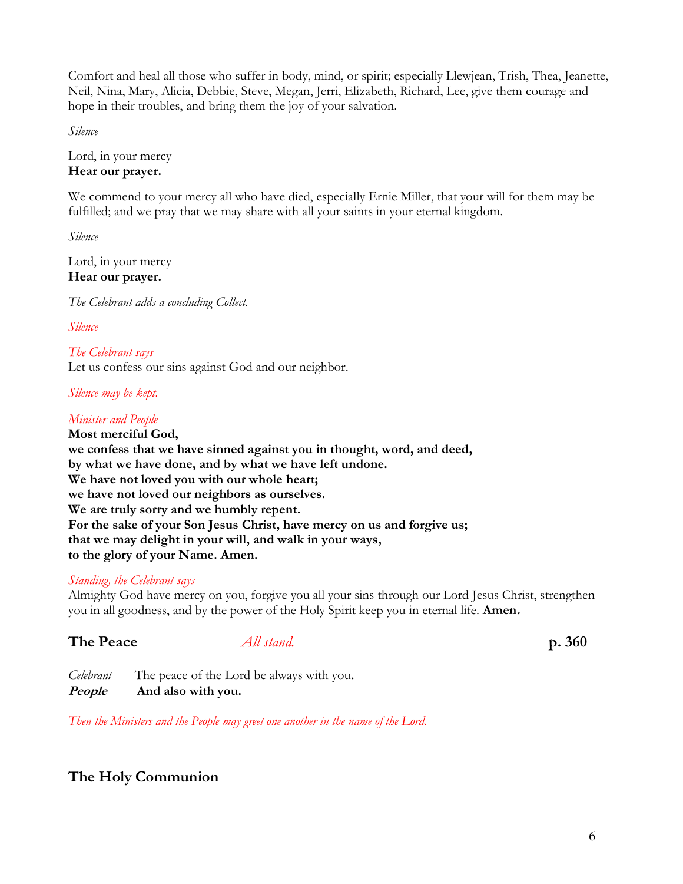Comfort and heal all those who suffer in body, mind, or spirit; especially Llewjean, Trish, Thea, Jeanette, Neil, Nina, Mary, Alicia, Debbie, Steve, Megan, Jerri, Elizabeth, Richard, Lee, give them courage and hope in their troubles, and bring them the joy of your salvation.

Silence

Lord, in your mercy Hear our prayer.

We commend to your mercy all who have died, especially Ernie Miller, that your will for them may be fulfilled; and we pray that we may share with all your saints in your eternal kingdom.

Silence

Lord, in your mercy Hear our prayer.

The Celebrant adds a concluding Collect.

Silence

The Celebrant says Let us confess our sins against God and our neighbor.

Silence may be kept.

## Minister and People

Most merciful God, we confess that we have sinned against you in thought, word, and deed, by what we have done, and by what we have left undone. We have not loved you with our whole heart; we have not loved our neighbors as ourselves. We are truly sorry and we humbly repent. For the sake of your Son Jesus Christ, have mercy on us and forgive us; that we may delight in your will, and walk in your ways, to the glory of your Name. Amen.

## Standing, the Celebrant says

Almighty God have mercy on you, forgive you all your sins through our Lord Jesus Christ, strengthen you in all goodness, and by the power of the Holy Spirit keep you in eternal life. **Amen.** 

## The Peace All stand. p. 360

Celebrant The peace of the Lord be always with you. People And also with you.

Then the Ministers and the People may greet one another in the name of the Lord.

## The Holy Communion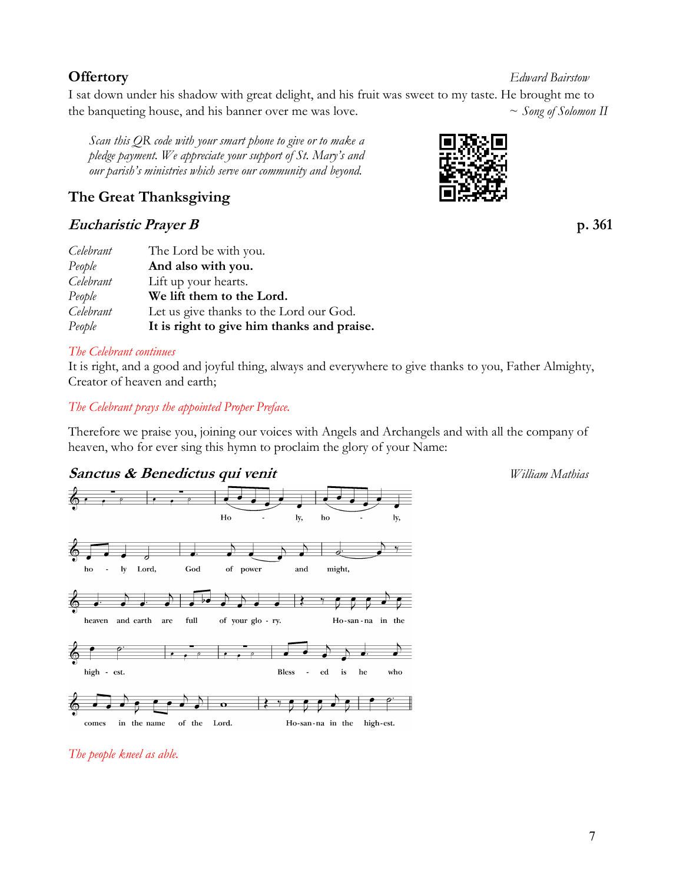## 7

I sat down under his shadow with great delight, and his fruit was sweet to my taste. He brought me to the banqueting house, and his banner over me was love.  $\sim$  Song of Solomon II

Scan this QR code with your smart phone to give or to make a pledge payment. We appreciate your support of St. Mary's and our parish's ministries which serve our community and beyond.

# The Great Thanksgiving

# Eucharistic Prayer B p. 361

| Celebrant | The Lord be with you.                      |
|-----------|--------------------------------------------|
| People    | And also with you.                         |
| Celebrant | Lift up your hearts.                       |
| People    | We lift them to the Lord.                  |
| Celebrant | Let us give thanks to the Lord our God.    |
| People    | It is right to give him thanks and praise. |

## The Celebrant continues

It is right, and a good and joyful thing, always and everywhere to give thanks to you, Father Almighty, Creator of heaven and earth;

## The Celebrant prays the appointed Proper Preface.

Therefore we praise you, joining our voices with Angels and Archangels and with all the company of heaven, who for ever sing this hymn to proclaim the glory of your Name:

 $_{\rm who}$ 

ρ

#### Sanctus & Benedictus qui venit Villiam Mathias  $H_0$  $1y,$  $\mathbf{ho}$ ly, Lord,  ${\bf ho}$  $\mathbb{Z}^2$ ly God of power and might, 孟 Ì  $\frac{1}{2}$ heaven and earth are  $\operatorname{\textsf{full}}$ of your glo - ry. Ho-san-na in the

high - est. **Bless**  $\mathbb{L}$  $\operatorname{\sf ed}$  $\mathbf{is}$  ${\bf he}$ 



The people kneel as able.



**Offertory** Edward Bairstow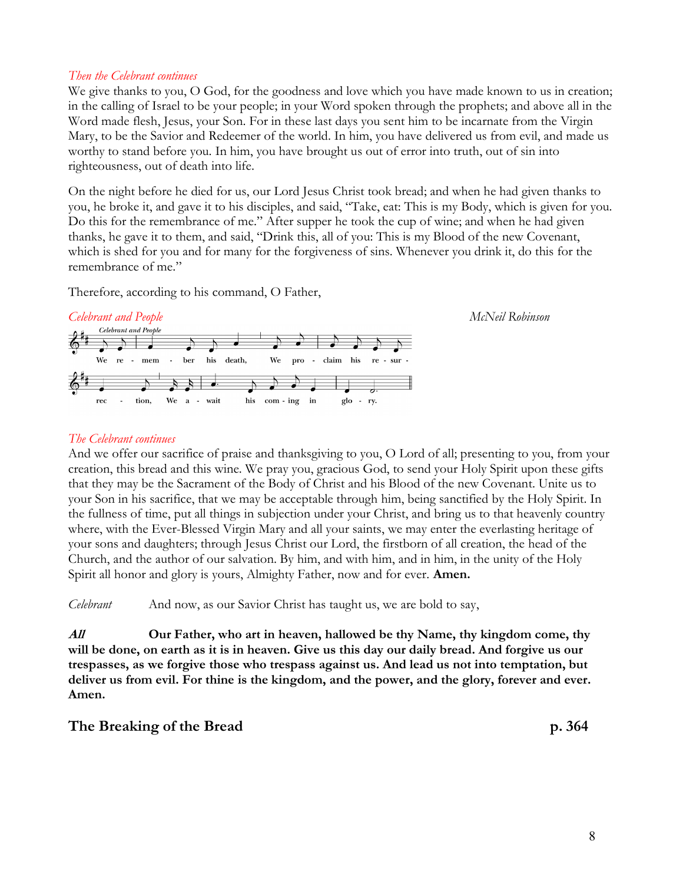#### Then the Celebrant continues

We give thanks to you, O God, for the goodness and love which you have made known to us in creation; in the calling of Israel to be your people; in your Word spoken through the prophets; and above all in the Word made flesh, Jesus, your Son. For in these last days you sent him to be incarnate from the Virgin Mary, to be the Savior and Redeemer of the world. In him, you have delivered us from evil, and made us worthy to stand before you. In him, you have brought us out of error into truth, out of sin into righteousness, out of death into life.

On the night before he died for us, our Lord Jesus Christ took bread; and when he had given thanks to you, he broke it, and gave it to his disciples, and said, "Take, eat: This is my Body, which is given for you. Do this for the remembrance of me." After supper he took the cup of wine; and when he had given thanks, he gave it to them, and said, "Drink this, all of you: This is my Blood of the new Covenant, which is shed for you and for many for the forgiveness of sins. Whenever you drink it, do this for the remembrance of me."

Therefore, according to his command, O Father,



#### The Celebrant continues

And we offer our sacrifice of praise and thanksgiving to you, O Lord of all; presenting to you, from your creation, this bread and this wine. We pray you, gracious God, to send your Holy Spirit upon these gifts that they may be the Sacrament of the Body of Christ and his Blood of the new Covenant. Unite us to your Son in his sacrifice, that we may be acceptable through him, being sanctified by the Holy Spirit. In the fullness of time, put all things in subjection under your Christ, and bring us to that heavenly country where, with the Ever-Blessed Virgin Mary and all your saints, we may enter the everlasting heritage of your sons and daughters; through Jesus Christ our Lord, the firstborn of all creation, the head of the Church, and the author of our salvation. By him, and with him, and in him, in the unity of the Holy Spirit all honor and glory is yours, Almighty Father, now and for ever. **Amen.** 

Celebrant And now, as our Savior Christ has taught us, we are bold to say,

All **Our Father, who art in heaven, hallowed be thy Name, thy kingdom come, thy** will be done, on earth as it is in heaven. Give us this day our daily bread. And forgive us our trespasses, as we forgive those who trespass against us. And lead us not into temptation, but deliver us from evil. For thine is the kingdom, and the power, and the glory, forever and ever. Amen.

### The Breaking of the Bread p. 364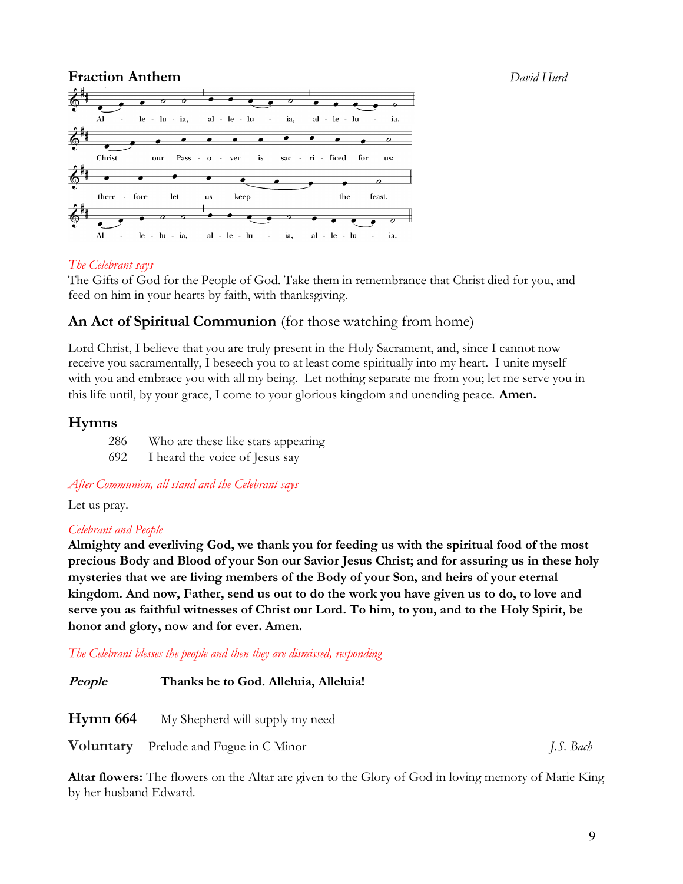

### The Celebrant says

The Gifts of God for the People of God. Take them in remembrance that Christ died for you, and feed on him in your hearts by faith, with thanksgiving.

## An Act of Spiritual Communion (for those watching from home)

Lord Christ, I believe that you are truly present in the Holy Sacrament, and, since I cannot now receive you sacramentally, I beseech you to at least come spiritually into my heart. I unite myself with you and embrace you with all my being. Let nothing separate me from you; let me serve you in this life until, by your grace, I come to your glorious kingdom and unending peace. Amen.

## Hymns

286 Who are these like stars appearing 692 I heard the voice of Jesus say

After Communion, all stand and the Celebrant says

Let us pray.

### Celebrant and People

Almighty and everliving God, we thank you for feeding us with the spiritual food of the most precious Body and Blood of your Son our Savior Jesus Christ; and for assuring us in these holy mysteries that we are living members of the Body of your Son, and heirs of your eternal kingdom. And now, Father, send us out to do the work you have given us to do, to love and serve you as faithful witnesses of Christ our Lord. To him, to you, and to the Holy Spirit, be honor and glory, now and for ever. Amen.

The Celebrant blesses the people and then they are dismissed, responding

| People | Thanks be to God. Alleluia, Alleluia!           |           |
|--------|-------------------------------------------------|-----------|
|        | <b>Hymn 664</b> My Shepherd will supply my need |           |
|        | <b>Voluntary</b> Prelude and Fugue in C Minor   | J.S. Bach |

Altar flowers: The flowers on the Altar are given to the Glory of God in loving memory of Marie King by her husband Edward.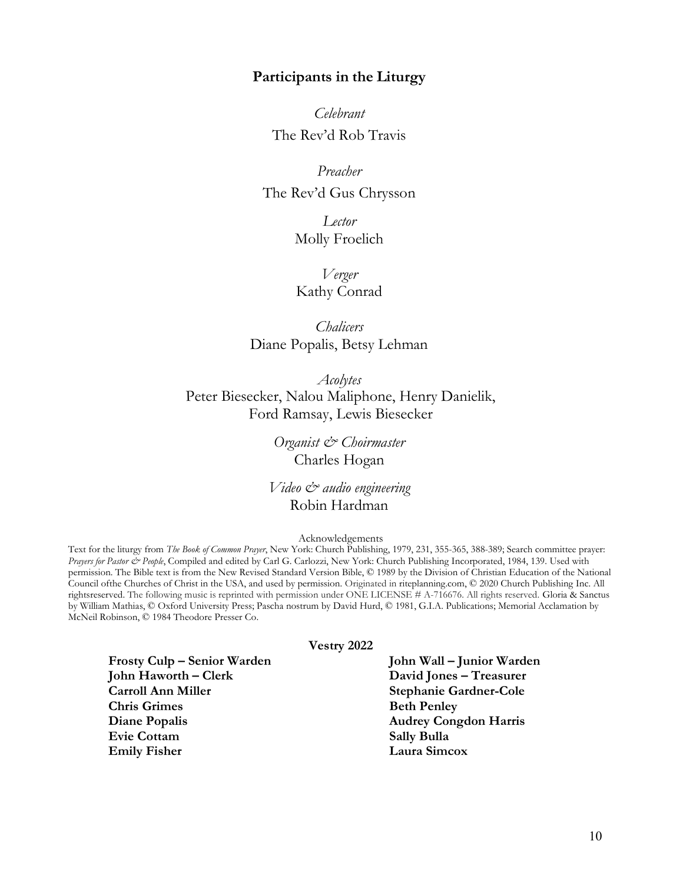#### Participants in the Liturgy

Celebrant The Rev'd Rob Travis

Preacher The Rev'd Gus Chrysson

> Lector Molly Froelich

Verger Kathy Conrad

**Chalicers** Diane Popalis, Betsy Lehman

Acolytes Peter Biesecker, Nalou Maliphone, Henry Danielik, Ford Ramsay, Lewis Biesecker

> Organist & Choirmaster Charles Hogan

Video & audio engineering Robin Hardman

Acknowledgements

Text for the liturgy from The Book of Common Prayer, New York: Church Publishing, 1979, 231, 355-365, 388-389; Search committee prayer: Prayers for Pastor & People, Compiled and edited by Carl G. Carlozzi, New York: Church Publishing Incorporated, 1984, 139. Used with permission. The Bible text is from the New Revised Standard Version Bible, © 1989 by the Division of Christian Education of the National Council of the Churches of Christ in the USA, and used by permission. Originated in riteplanning.com, © 2020 Church Publishing Inc. All rights reserved. The following music is reprinted with permission under ONE LICENSE # A-716676. All rights reserved. Gloria & Sanctus by William Mathias, © Oxford University Press; Pascha nostrum by David Hurd, © 1981, G.I.A. Publications; Memorial Acclamation by McNeil Robinson, © 1984 Theodore Presser Co.

#### Vestry 2022

Frosty Culp – Senior Warden John Wall – Junior Warden John Haworth – Clerk David Jones – Treasurer Carroll Ann Miller Stephanie Gardner-Cole Chris Grimes Beth Penley Diane Popalis Audrey Congdon Harris Evie Cottam Sally Bulla Emily Fisher Laura Simcox